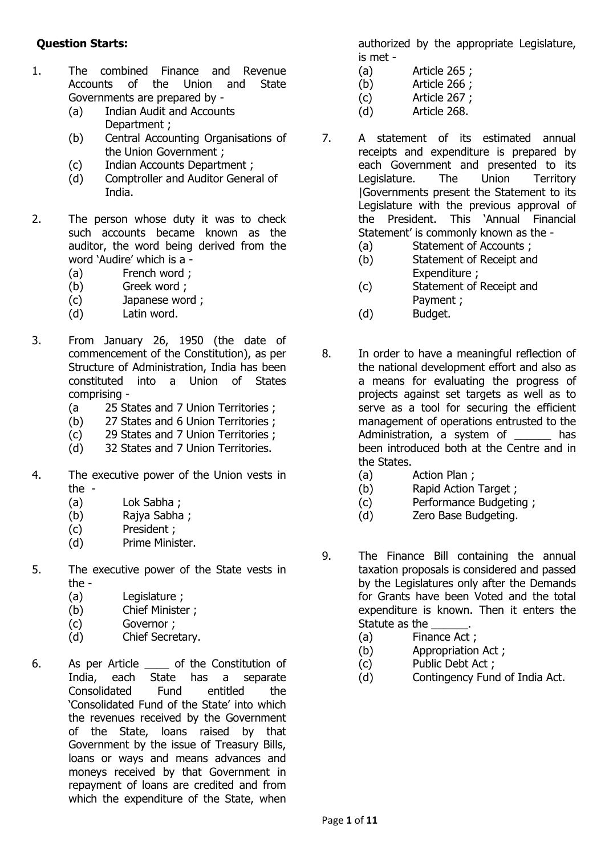## **Question Starts:**

- 1. The combined Finance and Revenue Accounts of the Union and State Governments are prepared by -
	- (a) Indian Audit and Accounts Department ;
	- (b) Central Accounting Organisations of the Union Government ;
	- (c) Indian Accounts Department ;
	- (d) Comptroller and Auditor General of India.
- 2. The person whose duty it was to check such accounts became known as the auditor, the word being derived from the word 'Audire' which is a -
	- (a) French word ;
	- (b) Greek word ;
	- (c) Japanese word ;
	- (d) Latin word.
- 3. From January 26, 1950 (the date of commencement of the Constitution), as per Structure of Administration, India has been constituted into a Union of States comprising -
	- (a 25 States and 7 Union Territories ;
	- (b) 27 States and 6 Union Territories ;
	- (c) 29 States and 7 Union Territories ;
	- (d) 32 States and 7 Union Territories.
- 4. The executive power of the Union vests in the -
	- (a) Lok Sabha ;
	- (b) Rajya Sabha ;
	- (c) President ;
	- (d) Prime Minister.
- 5. The executive power of the State vests in the -
	- (a) Legislature ;
	- (b) Chief Minister ;
	- (c) Governor ;
	- (d) Chief Secretary.
- 6. As per Article of the Constitution of India, each State has a separate Consolidated Fund entitled the 'Consolidated Fund of the State' into which the revenues received by the Government of the State, loans raised by that Government by the issue of Treasury Bills, loans or ways and means advances and moneys received by that Government in repayment of loans are credited and from which the expenditure of the State, when

authorized by the appropriate Legislature, is met -

- (a) Article 265 ;
- (b) Article 266 ;
- (c) Article 267 ;
- (d) Article 268.
- 7. A statement of its estimated annual receipts and expenditure is prepared by each Government and presented to its Legislature. The Union Territory |Governments present the Statement to its Legislature with the previous approval of the President. This 'Annual Financial Statement' is commonly known as the -
	- (a) Statement of Accounts ;
	- (b) Statement of Receipt and Expenditure ;
	- (c) Statement of Receipt and Payment ;
	- (d) Budget.
- 8. In order to have a meaningful reflection of the national development effort and also as a means for evaluating the progress of projects against set targets as well as to serve as a tool for securing the efficient management of operations entrusted to the Administration, a system of \_\_\_\_\_\_ has been introduced both at the Centre and in the States.
	- (a) Action Plan ;
	- (b) Rapid Action Target ;
	- (c) Performance Budgeting ;
	- (d) Zero Base Budgeting.
- 9. The Finance Bill containing the annual taxation proposals is considered and passed by the Legislatures only after the Demands for Grants have been Voted and the total expenditure is known. Then it enters the Statute as the
	- (a) Finance Act ;
	- (b) Appropriation Act ;
	- (c) Public Debt Act ;
	- (d) Contingency Fund of India Act.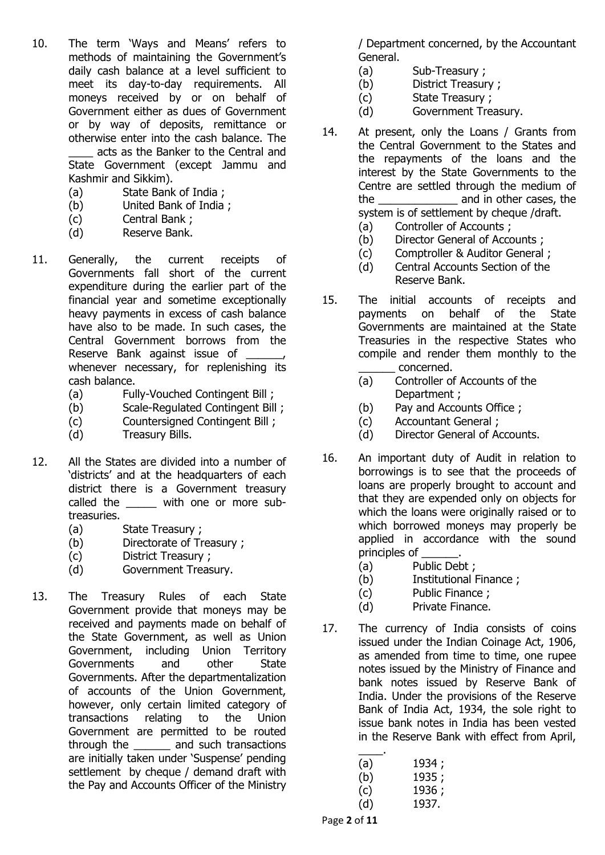- 10. The term 'Ways and Means' refers to methods of maintaining the Government's daily cash balance at a level sufficient to meet its day-to-day requirements. All moneys received by or on behalf of Government either as dues of Government or by way of deposits, remittance or otherwise enter into the cash balance. The \_\_\_\_ acts as the Banker to the Central and State Government (except Jammu and Kashmir and Sikkim).
	- (a) State Bank of India ;
	- (b) United Bank of India ;
	- (c) Central Bank ;
	- (d) Reserve Bank.
- 11. Generally, the current receipts of Governments fall short of the current expenditure during the earlier part of the financial year and sometime exceptionally heavy payments in excess of cash balance have also to be made. In such cases, the Central Government borrows from the Reserve Bank against issue of whenever necessary, for replenishing its cash balance.
	- (a) Fully-Vouched Contingent Bill ;
	- (b) Scale-Regulated Contingent Bill ;
	- (c) Countersigned Contingent Bill ;
	- (d) Treasury Bills.
- 12. All the States are divided into a number of 'districts' and at the headquarters of each district there is a Government treasury called the with one or more subtreasuries.
	- (a) State Treasury ;
	- (b) Directorate of Treasury ;
	- (c) District Treasury ;
	- (d) Government Treasury.
- 13. The Treasury Rules of each State Government provide that moneys may be received and payments made on behalf of the State Government, as well as Union Government, including Union Territory Governments and other State Governments. After the departmentalization of accounts of the Union Government, however, only certain limited category of transactions relating to the Union Government are permitted to be routed through the \_\_\_\_\_\_ and such transactions are initially taken under 'Suspense' pending settlement by cheque / demand draft with the Pay and Accounts Officer of the Ministry

/ Department concerned, by the Accountant General.

- (a) Sub-Treasury ;
- (b) District Treasury ;
- (c) State Treasury ;
- (d) Government Treasury.
- 14. At present, only the Loans / Grants from the Central Government to the States and the repayments of the loans and the interest by the State Governments to the Centre are settled through the medium of the \_\_\_\_\_\_\_\_\_\_\_\_\_ and in other cases, the system is of settlement by cheque /draft. (a) Controller of Accounts ;
	-
	- (b) Director General of Accounts ;
	- (c) Comptroller & Auditor General ; (d) Central Accounts Section of the
	- Reserve Bank.
- 15. The initial accounts of receipts and payments on behalf of the State Governments are maintained at the State Treasuries in the respective States who compile and render them monthly to the \_\_\_\_\_\_ concerned.
	- (a) Controller of Accounts of the Department ;
	- (b) Pay and Accounts Office ;
	- (c) Accountant General ;
	- (d) Director General of Accounts.
- 16. An important duty of Audit in relation to borrowings is to see that the proceeds of loans are properly brought to account and that they are expended only on objects for which the loans were originally raised or to which borrowed moneys may properly be applied in accordance with the sound principles of
	- (a) Public Debt ;
	- (b) Institutional Finance ;
	- (c) Public Finance ;
	- (d) Private Finance.
- 17. The currency of India consists of coins issued under the Indian Coinage Act, 1906, as amended from time to time, one rupee notes issued by the Ministry of Finance and bank notes issued by Reserve Bank of India. Under the provisions of the Reserve Bank of India Act, 1934, the sole right to issue bank notes in India has been vested in the Reserve Bank with effect from April,

| (a) | 1934; |
|-----|-------|
| (b) | 1935; |
| (c) | 1936; |
| (d) | 1937. |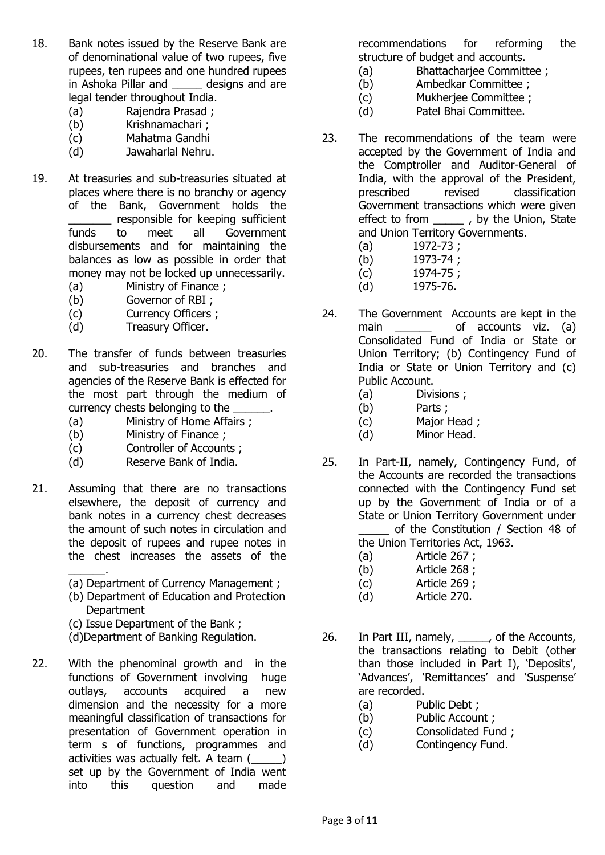- 18. Bank notes issued by the Reserve Bank are of denominational value of two rupees, five rupees, ten rupees and one hundred rupees in Ashoka Pillar and designs and are legal tender throughout India.
	- (a) Rajendra Prasad ;
	- (b) Krishnamachari ;
	- (c) Mahatma Gandhi
	- (d) Jawaharlal Nehru.
- 19. At treasuries and sub-treasuries situated at places where there is no branchy or agency of the Bank, Government holds the \_\_\_\_\_\_\_ responsible for keeping sufficient funds to meet all Government disbursements and for maintaining the balances as low as possible in order that money may not be locked up unnecessarily. (a) Ministry of Finance ;
	- (b) Governor of RBI ;
	- (c) Currency Officers ;
	- (d) Treasury Officer.
- 20. The transfer of funds between treasuries and sub-treasuries and branches and agencies of the Reserve Bank is effected for the most part through the medium of currency chests belonging to the
	- (a) Ministry of Home Affairs ;
	- (b) Ministry of Finance ;
	- (c) Controller of Accounts ;
	- (d) Reserve Bank of India.
- 21. Assuming that there are no transactions elsewhere, the deposit of currency and bank notes in a currency chest decreases the amount of such notes in circulation and the deposit of rupees and rupee notes in the chest increases the assets of the \_\_\_\_\_\_.
	- (a) Department of Currency Management ;
	- (b) Department of Education and Protection **Department**
	- (c) Issue Department of the Bank ;
	- (d)Department of Banking Regulation.
- 22. With the phenominal growth and in the functions of Government involving huge outlays, accounts acquired a new dimension and the necessity for a more meaningful classification of transactions for presentation of Government operation in term s of functions, programmes and activities was actually felt. A team (\_\_\_\_\_) set up by the Government of India went into this question and made

recommendations for reforming the structure of budget and accounts.

- (a) Bhattacharjee Committee ;
- (b) Ambedkar Committee ;
- (c) Mukherjee Committee ;
- (d) Patel Bhai Committee.
- 23. The recommendations of the team were accepted by the Government of India and the Comptroller and Auditor-General of India, with the approval of the President, prescribed revised classification Government transactions which were given effect to from \_\_\_\_\_\_ , by the Union, State and Union Territory Governments.
	- (a) 1972-73 ;
	- (b) 1973-74 ;
	- (c) 1974-75 ;
	- (d) 1975-76.
- 24. The Government Accounts are kept in the main \_\_\_\_\_\_\_ of accounts viz. (a) Consolidated Fund of India or State or Union Territory; (b) Contingency Fund of India or State or Union Territory and (c) Public Account.
	- (a) Divisions ;
	- (b) Parts ;
	- (c) Major Head ;
	- (d) Minor Head.
- 25. In Part-II, namely, Contingency Fund, of the Accounts are recorded the transactions connected with the Contingency Fund set up by the Government of India or of a State or Union Territory Government under of the Constitution / Section 48 of the Union Territories Act, 1963.
	- (a) Article 267 ;
	- (b) Article 268 ;
	- (c) Article 269 ;
	- (d) Article 270.
- 26. In Part III, namely, \_\_\_\_\_, of the Accounts, the transactions relating to Debit (other than those included in Part I), 'Deposits', 'Advances', 'Remittances' and 'Suspense' are recorded.
	- (a) Public Debt ;
	- (b) Public Account ;
	- (c) Consolidated Fund ;
	- (d) Contingency Fund.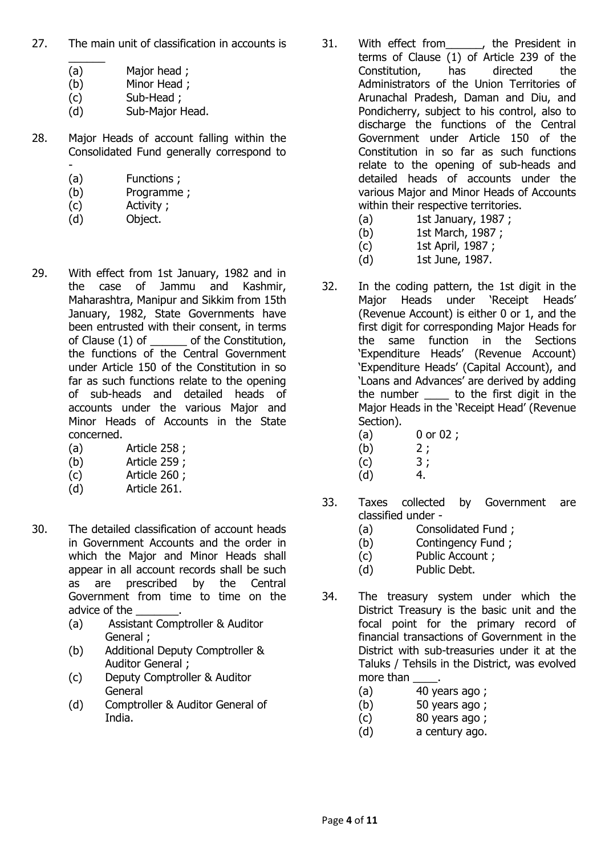- 27. The main unit of classification in accounts is
	- $\frac{1}{2}$ (a) Major head ;
	- (b) Minor Head ;
	- (c) Sub-Head ;
	- (d) Sub-Major Head.
- 28. Major Heads of account falling within the Consolidated Fund generally correspond to -
	- (a) Functions ;
	- (b) Programme ;
	- (c) Activity ;
	- (d) Object.
- 29. With effect from 1st January, 1982 and in the case of Jammu and Kashmir, Maharashtra, Manipur and Sikkim from 15th January, 1982, State Governments have been entrusted with their consent, in terms of Clause (1) of  $\qquad \qquad$  of the Constitution, the functions of the Central Government under Article 150 of the Constitution in so far as such functions relate to the opening of sub-heads and detailed heads of accounts under the various Major and Minor Heads of Accounts in the State concerned.
	- (a) Article 258 ;
	- (b) Article 259 ;
	- (c) Article 260 ;
	- (d) Article 261.
- 30. The detailed classification of account heads in Government Accounts and the order in which the Major and Minor Heads shall appear in all account records shall be such as are prescribed by the Central Government from time to time on the advice of the
	- (a) Assistant Comptroller & Auditor General ;
	- (b) Additional Deputy Comptroller & Auditor General ;
	- (c) Deputy Comptroller & Auditor General
	- (d) Comptroller & Auditor General of India.
- 31. With effect from for the President in terms of Clause (1) of Article 239 of the Constitution, has directed the Administrators of the Union Territories of Arunachal Pradesh, Daman and Diu, and Pondicherry, subject to his control, also to discharge the functions of the Central Government under Article 150 of the Constitution in so far as such functions relate to the opening of sub-heads and detailed heads of accounts under the various Major and Minor Heads of Accounts within their respective territories.
	- (a) 1st January, 1987 ;
	- (b) 1st March, 1987 ;
	- (c) 1st April, 1987 ;
	- (d) 1st June, 1987.
- 32. In the coding pattern, the 1st digit in the Major Heads under 'Receipt Heads' (Revenue Account) is either 0 or 1, and the first digit for corresponding Major Heads for the same function in the Sections 'Expenditure Heads' (Revenue Account) 'Expenditure Heads' (Capital Account), and 'Loans and Advances' are derived by adding the number \_\_\_\_ to the first digit in the Major Heads in the 'Receipt Head' (Revenue Section).
	- (a) 0 or 02 ;
	- $(b)$  2;
	- $(c)$  3;
	- $(d)$  4.
- 33. Taxes collected by Government are classified under -
	- (a) Consolidated Fund ;
	- (b) Contingency Fund ;
	- (c) Public Account ;
	- (d) Public Debt.
- 34. The treasury system under which the District Treasury is the basic unit and the focal point for the primary record of financial transactions of Government in the District with sub-treasuries under it at the Taluks / Tehsils in the District, was evolved more than
	- (a) 40 years ago ;
	- (b) 50 years ago ;
	- (c) 80 years ago ;
	- (d) a century ago.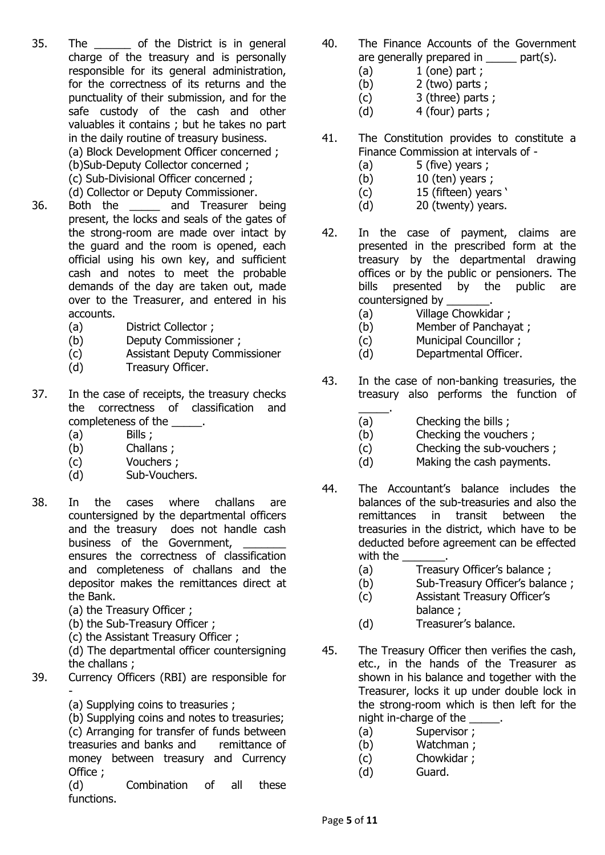- 35. The of the District is in general charge of the treasury and is personally responsible for its general administration, for the correctness of its returns and the punctuality of their submission, and for the safe custody of the cash and other valuables it contains ; but he takes no part in the daily routine of treasury business. (a) Block Development Officer concerned ; (b)Sub-Deputy Collector concerned ; (c) Sub-Divisional Officer concerned ;
- (d) Collector or Deputy Commissioner. 36. Both the \_\_\_\_\_ and Treasurer being present, the locks and seals of the gates of the strong-room are made over intact by the guard and the room is opened, each official using his own key, and sufficient cash and notes to meet the probable demands of the day are taken out, made over to the Treasurer, and entered in his accounts.
	- (a) District Collector ;
	- (b) Deputy Commissioner ;
	- (c) Assistant Deputy Commissioner
	- (d) Treasury Officer.
- 37. In the case of receipts, the treasury checks the correctness of classification and completeness of the  $\qquad \qquad$ .
	- (a) Bills ;
	- (b) Challans ;
	- (c) Vouchers ;
	- (d) Sub-Vouchers.
- 38. In the cases where challans are countersigned by the departmental officers and the treasury does not handle cash business of the Government, ensures the correctness of classification and completeness of challans and the depositor makes the remittances direct at the Bank.
	- (a) the Treasury Officer ;
	- (b) the Sub-Treasury Officer ;
	- (c) the Assistant Treasury Officer ;

(d) The departmental officer countersigning the challans ;

- 39. Currency Officers (RBI) are responsible for -
	- (a) Supplying coins to treasuries ;

(b) Supplying coins and notes to treasuries; (c) Arranging for transfer of funds between treasuries and banks and remittance of money between treasury and Currency Office ;

(d) Combination of all these functions.

- 40. The Finance Accounts of the Government are generally prepared in \_\_\_\_\_ part(s).
	- $(a)$  1 (one) part ;
	- (b) 2 (two) parts ;
	- (c) 3 (three) parts ;
	- $(d)$  4 (four) parts :
- 41. The Constitution provides to constitute a Finance Commission at intervals of -
	- $(a)$  5 (five) years ;
	- $(b)$  10 (ten) years ;
	- (c) 15 (fifteen) years '
	- (d) 20 (twenty) years.
- 42. In the case of payment, claims are presented in the prescribed form at the treasury by the departmental drawing offices or by the public or pensioners. The bills presented by the public are countersigned by
	- (a) Village Chowkidar ;
	- (b) Member of Panchayat ;
	- (c) Municipal Councillor ;
	- (d) Departmental Officer.
- 43. In the case of non-banking treasuries, the treasury also performs the function of
	- \_\_\_\_\_. (a) Checking the bills ;
	- (b) Checking the vouchers ;
	- (c) Checking the sub-vouchers ;
	- (d) Making the cash payments.
- 44. The Accountant's balance includes the balances of the sub-treasuries and also the remittances in transit between the treasuries in the district, which have to be deducted before agreement can be effected with the
	- (a) Treasury Officer's balance ;
	- (b) Sub-Treasury Officer's balance;
	- (c) Assistant Treasury Officer's
		- balance ;
	- (d) Treasurer's balance.
- 45. The Treasury Officer then verifies the cash, etc., in the hands of the Treasurer as shown in his balance and together with the Treasurer, locks it up under double lock in the strong-room which is then left for the night in-charge of the  $\qquad \qquad$ .
	- (a) Supervisor ;
	- (b) Watchman ;
	- (c) Chowkidar ;
	- (d) Guard.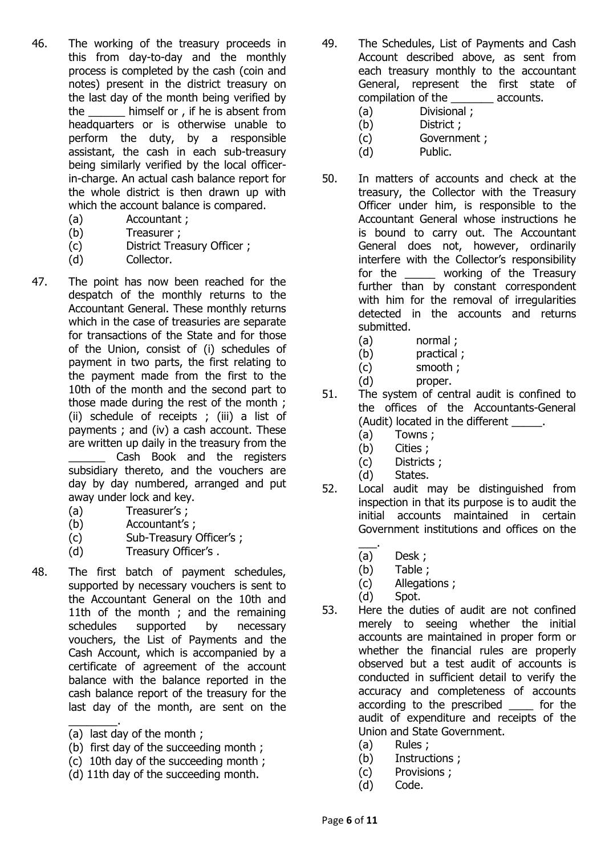- 46. The working of the treasury proceeds in this from day-to-day and the monthly process is completed by the cash (coin and notes) present in the district treasury on the last day of the month being verified by the himself or , if he is absent from headquarters or is otherwise unable to perform the duty, by a responsible assistant, the cash in each sub-treasury being similarly verified by the local officerin-charge. An actual cash balance report for the whole district is then drawn up with which the account balance is compared.
	- (a) Accountant ;
	- (b) Treasurer ;
	- (c) District Treasury Officer ;
	- (d) Collector.
- 47. The point has now been reached for the despatch of the monthly returns to the Accountant General. These monthly returns which in the case of treasuries are separate for transactions of the State and for those of the Union, consist of (i) schedules of payment in two parts, the first relating to the payment made from the first to the 10th of the month and the second part to those made during the rest of the month ; (ii) schedule of receipts ; (iii) a list of payments ; and (iv) a cash account. These are written up daily in the treasury from the Cash Book and the registers subsidiary thereto, and the vouchers are day by day numbered, arranged and put away under lock and key.
	- (a) Treasurer's ;
	- (b) Accountant's ;
	- (c) Sub-Treasury Officer's ;
	- (d) Treasury Officer's .
- 48. The first batch of payment schedules, supported by necessary vouchers is sent to the Accountant General on the 10th and 11th of the month ; and the remaining schedules supported by necessary vouchers, the List of Payments and the Cash Account, which is accompanied by a certificate of agreement of the account balance with the balance reported in the cash balance report of the treasury for the last day of the month, are sent on the
	- \_\_\_\_\_\_\_\_. (a) last day of the month ;
	- (b) first day of the succeeding month ;
	- (c) 10th day of the succeeding month ;
	- (d) 11th day of the succeeding month.
- 49. The Schedules, List of Payments and Cash Account described above, as sent from each treasury monthly to the accountant General, represent the first state of compilation of the \_\_\_\_\_\_\_ accounts.
	- (a) Divisional ;
	- (b) District ;
	- (c) Government ;
	- (d) Public.
- 50. In matters of accounts and check at the treasury, the Collector with the Treasury Officer under him, is responsible to the Accountant General whose instructions he is bound to carry out. The Accountant General does not, however, ordinarily interfere with the Collector's responsibility for the working of the Treasury further than by constant correspondent with him for the removal of irregularities detected in the accounts and returns submitted.
	- (a) normal ;
	- (b) practical ;
	- (c) smooth ;
	- (d) proper.
- 51. The system of central audit is confined to the offices of the Accountants-General (Audit) located in the different  $\blacksquare$ .
	- (a) Towns ;
	- (b) Cities ;
	- (c) Districts ;
	- (d) States.
- 52. Local audit may be distinguished from inspection in that its purpose is to audit the initial accounts maintained in certain Government institutions and offices on the
	- \_\_\_. (a) Desk ;
	- (b) Table ;
	- (c) Allegations ;
	- (d) Spot.
- 53. Here the duties of audit are not confined merely to seeing whether the initial accounts are maintained in proper form or whether the financial rules are properly observed but a test audit of accounts is conducted in sufficient detail to verify the accuracy and completeness of accounts according to the prescribed for the audit of expenditure and receipts of the Union and State Government.
	- (a) Rules ;
	- (b) Instructions ;
	- (c) Provisions ;
	- (d) Code.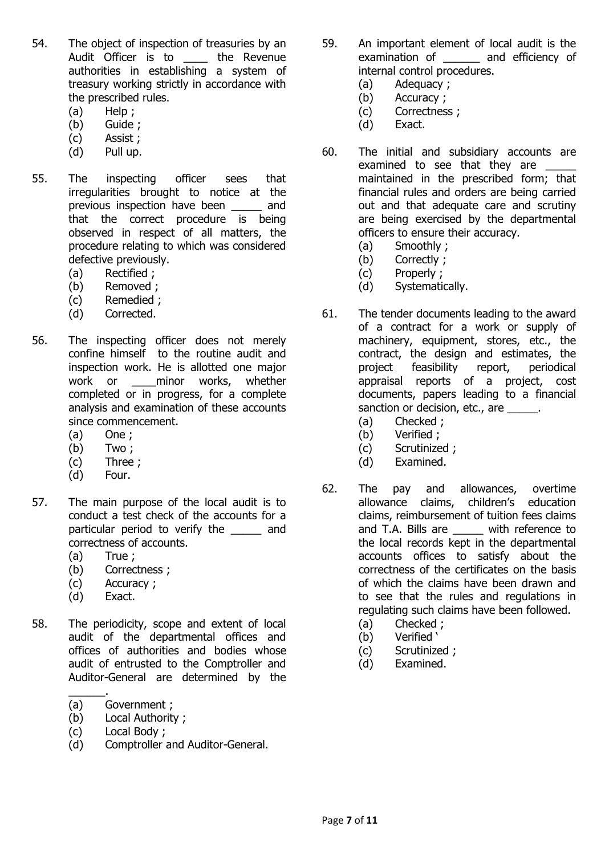- 54. The object of inspection of treasuries by an Audit Officer is to \_\_\_\_\_ the Revenue authorities in establishing a system of treasury working strictly in accordance with the prescribed rules.
	- (a) Help ;
	- (b) Guide ;
	- (c) Assist ;
	- (d) Pull up.
- 55. The inspecting officer sees that irregularities brought to notice at the previous inspection have been \_\_\_\_\_ and that the correct procedure is being observed in respect of all matters, the procedure relating to which was considered defective previously.
	- (a) Rectified ;
	- (b) Removed ;
	- (c) Remedied ;
	- (d) Corrected.
- 56. The inspecting officer does not merely confine himself to the routine audit and inspection work. He is allotted one major work or \_\_\_\_minor works, whether completed or in progress, for a complete analysis and examination of these accounts since commencement.
	- (a) One ;
	- (b) Two ;
	- (c) Three ;
	- (d) Four.
- 57. The main purpose of the local audit is to conduct a test check of the accounts for a particular period to verify the \_\_\_\_\_ and correctness of accounts.
	- (a) True ;
	- (b) Correctness ;
	- (c) Accuracy ;
	- (d) Exact.
- 58. The periodicity, scope and extent of local audit of the departmental offices and offices of authorities and bodies whose audit of entrusted to the Comptroller and Auditor-General are determined by the
	- \_\_\_\_\_\_. (a) Government ;
	- (b) Local Authority ;
	- (c) Local Body ;
	- (d) Comptroller and Auditor-General.
- 59. An important element of local audit is the examination of and efficiency of internal control procedures.
	- (a) Adequacy ;
	- (b) Accuracy ;
	- (c) Correctness ;
	- (d) Exact.
- 60. The initial and subsidiary accounts are examined to see that they are \_\_\_\_\_ maintained in the prescribed form; that financial rules and orders are being carried out and that adequate care and scrutiny are being exercised by the departmental officers to ensure their accuracy.
	- (a) Smoothly ;
	- (b) Correctly ;
	- (c) Properly ;
	- (d) Systematically.
- 61. The tender documents leading to the award of a contract for a work or supply of machinery, equipment, stores, etc., the contract, the design and estimates, the project feasibility report, periodical appraisal reports of a project, cost documents, papers leading to a financial sanction or decision, etc., are  $\qquad \qquad$ .
	- (a) Checked ;
	- (b) Verified ;
	- (c) Scrutinized ;
	- (d) Examined.
- 62. The pay and allowances, overtime allowance claims, children's education claims, reimbursement of tuition fees claims and T.A. Bills are \_\_\_\_\_ with reference to the local records kept in the departmental accounts offices to satisfy about the correctness of the certificates on the basis of which the claims have been drawn and to see that the rules and regulations in regulating such claims have been followed.
	- (a) Checked ;
	- (b) Verified '
	- (c) Scrutinized ;
	- (d) Examined.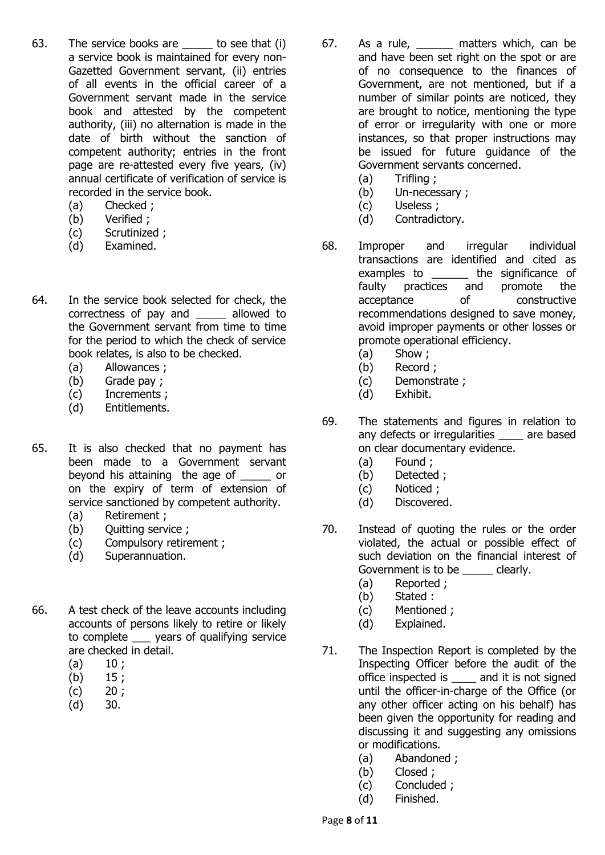- 63. The service books are to see that (i) a service book is maintained for every non-Gazetted Government servant, (ii) entries of all events in the official career of a Government servant made in the service book and attested by the competent authority, (iii) no alternation is made in the date of birth without the sanction of competent authority; entries in the front page are re-attested every five years, (iv) annual certificate of verification of service is recorded in the service book.
	- (a) Checked ;
	- (b) Verified ;
	- (c) Scrutinized ;
	- (d) Examined.
- 64. In the service book selected for check, the correctness of pay and \_\_\_\_\_ allowed to the Government servant from time to time for the period to which the check of service book relates, is also to be checked.
	- (a) Allowances ;
	- (b) Grade pay ;
	- (c) Increments ;
	- (d) Entitlements.
- 65. It is also checked that no payment has been made to a Government servant beyond his attaining the age of \_\_\_\_\_ or on the expiry of term of extension of service sanctioned by competent authority.
	- (a) Retirement ;
	- (b) Quitting service ;
	- (c) Compulsory retirement ;
	- (d) Superannuation.
- 66. A test check of the leave accounts including accounts of persons likely to retire or likely to complete \_\_\_ years of qualifying service are checked in detail.
	- $(a) 10:$
	- $(b)$  15;
	- $(c)$  20;
	- (d) 30.
- 67. As a rule, \_\_\_\_\_\_ matters which, can be and have been set right on the spot or are of no consequence to the finances of Government, are not mentioned, but if a number of similar points are noticed, they are brought to notice, mentioning the type of error or irregularity with one or more instances, so that proper instructions may be issued for future guidance of the Government servants concerned.
	- (a) Trifling ;
	- (b) Un-necessary ;
	- (c) Useless ;
	- (d) Contradictory.
- 68. Improper and irregular individual transactions are identified and cited as examples to **the significance of** faulty practices and promote the acceptance of constructive recommendations designed to save money, avoid improper payments or other losses or promote operational efficiency.
	- (a) Show ;
	- (b) Record ;
	- (c) Demonstrate ;
	- (d) Exhibit.
- 69. The statements and figures in relation to any defects or irregularities \_\_\_\_ are based on clear documentary evidence.
	- (a) Found ;
	- (b) Detected ;
	- (c) Noticed ;
	- (d) Discovered.
- 70. Instead of quoting the rules or the order violated, the actual or possible effect of such deviation on the financial interest of Government is to be \_\_\_\_\_ clearly.
	- (a) Reported ;
	- (b) Stated :
	- (c) Mentioned ;
	- (d) Explained.
- 71. The Inspection Report is completed by the Inspecting Officer before the audit of the office inspected is \_\_\_\_ and it is not signed until the officer-in-charge of the Office (or any other officer acting on his behalf) has been given the opportunity for reading and discussing it and suggesting any omissions or modifications.
	- (a) Abandoned ;
	- (b) Closed ;
	- (c) Concluded ;
	- (d) Finished.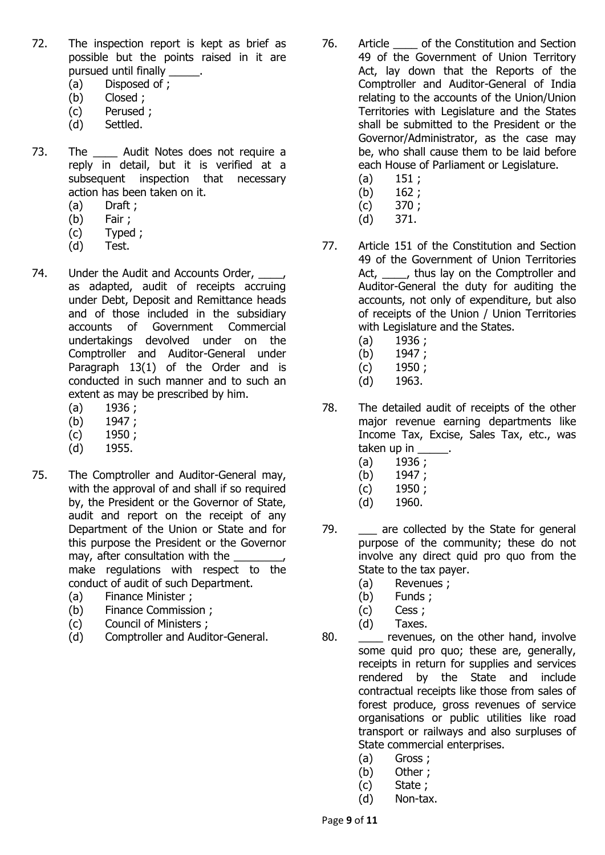- 72. The inspection report is kept as brief as possible but the points raised in it are pursued until finally
	- (a) Disposed of ;
	- (b) Closed ;
	- (c) Perused ;
	- (d) Settled.
- 73. The Audit Notes does not require a reply in detail, but it is verified at a subsequent inspection that necessary action has been taken on it.
	- (a) Draft ;
	- (b) Fair ;
	- (c) Typed ;
	- (d) Test.
- 74. Under the Audit and Accounts Order, as adapted, audit of receipts accruing under Debt, Deposit and Remittance heads and of those included in the subsidiary accounts of Government Commercial undertakings devolved under on the Comptroller and Auditor-General under Paragraph 13(1) of the Order and is conducted in such manner and to such an extent as may be prescribed by him.
	- (a) 1936 ;
	- (b) 1947 ;
	- (c) 1950 ;
	- (d) 1955.
- 75. The Comptroller and Auditor-General may, with the approval of and shall if so required by, the President or the Governor of State, audit and report on the receipt of any Department of the Union or State and for this purpose the President or the Governor may, after consultation with the \_\_\_\_\_ make regulations with respect to the conduct of audit of such Department.
	- (a) Finance Minister ;
	- (b) Finance Commission ;
	- (c) Council of Ministers ;
	- (d) Comptroller and Auditor-General.
- 76. Article of the Constitution and Section 49 of the Government of Union Territory Act, lay down that the Reports of the Comptroller and Auditor-General of India relating to the accounts of the Union/Union Territories with Legislature and the States shall be submitted to the President or the Governor/Administrator, as the case may be, who shall cause them to be laid before each House of Parliament or Legislature.
	- $(a)$  151;
	- (b)  $162;$
	- (c) 370 ;
	- (d) 371.
- 77. Article 151 of the Constitution and Section 49 of the Government of Union Territories Act, thus lay on the Comptroller and Auditor-General the duty for auditing the accounts, not only of expenditure, but also of receipts of the Union / Union Territories with Legislature and the States.
	- (a) 1936 ;
	- $(b)$  1947;
	- (c) 1950 ;
	- (d) 1963.
- 78. The detailed audit of receipts of the other major revenue earning departments like Income Tax, Excise, Sales Tax, etc., was taken up in
	- (a)  $1936;$
	- (b) 1947 ;
	- (c) 1950 ;
	- (d) 1960.
- 79. **are collected by the State for general** purpose of the community; these do not involve any direct quid pro quo from the State to the tax payer.
	- (a) Revenues ;
	- (b) Funds ;
	- (c) Cess ;
	- (d) Taxes.
- 80. \_\_\_\_\_ revenues, on the other hand, involve some quid pro quo; these are, generally, receipts in return for supplies and services rendered by the State and include contractual receipts like those from sales of forest produce, gross revenues of service organisations or public utilities like road transport or railways and also surpluses of State commercial enterprises.
	- (a) Gross ;
	- (b) Other ;
	- (c) State ;
	- (d) Non-tax.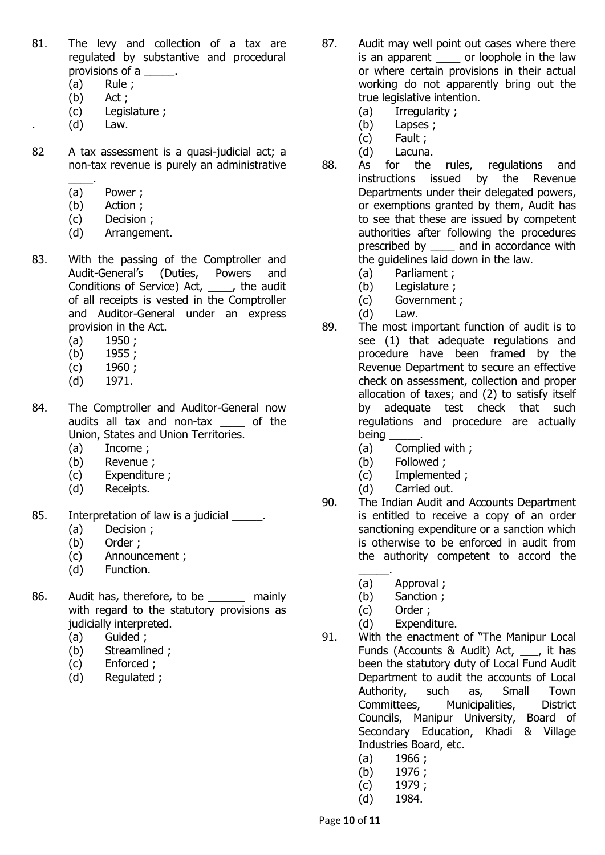- 81. The levy and collection of a tax are regulated by substantive and procedural provisions of a \_\_\_\_\_.
	- (a) Rule ;
	- (b) Act ;
	- (c) Legislature ;
	- $(d)$  Law.
- 82 A tax assessment is a quasi-judicial act; a non-tax revenue is purely an administrative
	- $\overline{\phantom{a}}$  . (a) Power ;
	- (b) Action ;
	- (c) Decision ;
	- (d) Arrangement.
- 83. With the passing of the Comptroller and Audit-General's (Duties, Powers and Conditions of Service) Act, \_\_\_\_, the audit of all receipts is vested in the Comptroller and Auditor-General under an express provision in the Act.
	- (a) 1950 ;
	- (b) 1955 ;
	- (c) 1960 ;
	- (d) 1971.
- 84. The Comptroller and Auditor-General now audits all tax and non-tax \_\_\_\_ of the Union, States and Union Territories.
	- (a) Income ;
	- (b) Revenue ;
	- (c) Expenditure ;
	- (d) Receipts.
- 85. Interpretation of law is a judicial \_\_\_\_\_.
	- (a) Decision ;
	- (b) Order ;
	- (c) Announcement ;
	- (d) Function.
- 86. Audit has, therefore, to be \_\_\_\_\_\_ mainly with regard to the statutory provisions as judicially interpreted.
	- (a) Guided ;
	- (b) Streamlined ;
	- (c) Enforced ;
	- (d) Regulated ;
- 87. Audit may well point out cases where there is an apparent or loophole in the law or where certain provisions in their actual working do not apparently bring out the true legislative intention.
	- (a) Irregularity ;
	- (b) Lapses ;
	- (c) Fault ;
	- (d) Lacuna.
- 88. As for the rules, regulations and instructions issued by the Revenue Departments under their delegated powers, or exemptions granted by them, Audit has to see that these are issued by competent authorities after following the procedures prescribed by \_\_\_\_ and in accordance with the guidelines laid down in the law.
	- (a) Parliament ;
	- (b) Legislature ;
	- (c) Government ;
	- (d) Law.
- 89. The most important function of audit is to see (1) that adequate regulations and procedure have been framed by the Revenue Department to secure an effective check on assessment, collection and proper allocation of taxes; and (2) to satisfy itself by adequate test check that such regulations and procedure are actually being
	- (a) Complied with ;
	- (b) Followed ;
	- (c) Implemented ;
	- (d) Carried out.
- 90. The Indian Audit and Accounts Department is entitled to receive a copy of an order sanctioning expenditure or a sanction which is otherwise to be enforced in audit from the authority competent to accord the
	- \_\_\_\_\_. (a) Approval ;
	- (b) Sanction ;
	- (c) Order ;
	- (d) Expenditure.
- 91. With the enactment of "The Manipur Local Funds (Accounts & Audit) Act, , it has been the statutory duty of Local Fund Audit Department to audit the accounts of Local Authority, such as, Small Town Committees, Municipalities, District Councils, Manipur University, Board of Secondary Education, Khadi & Village Industries Board, etc.
	- $(a)$  1966;
	- (b) 1976 ;
	- (c) 1979 ;
	- (d) 1984.